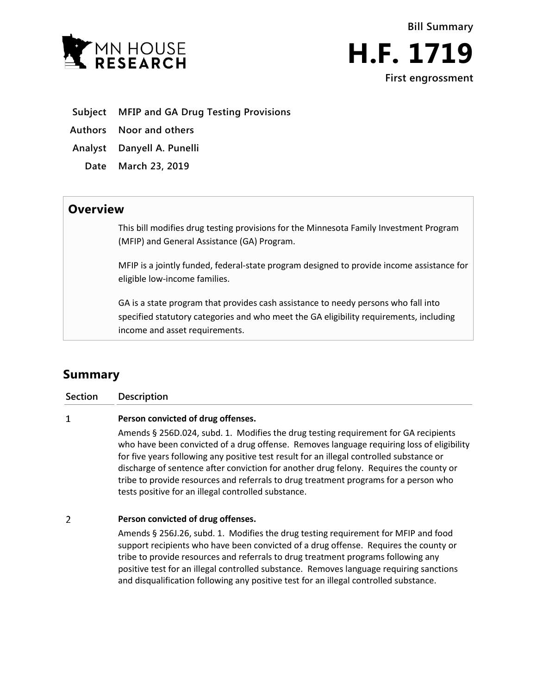



**Subject MFIP and GA Drug Testing Provisions**

**Authors Noor and others**

**Analyst Danyell A. Punelli**

**Date March 23, 2019**

## **Overview**

This bill modifies drug testing provisions for the Minnesota Family Investment Program (MFIP) and General Assistance (GA) Program.

MFIP is a jointly funded, federal-state program designed to provide income assistance for eligible low-income families.

GA is a state program that provides cash assistance to needy persons who fall into specified statutory categories and who meet the GA eligibility requirements, including income and asset requirements.

# **Summary**

**Section Description**

#### $\mathbf{1}$ **Person convicted of drug offenses.**

Amends § 256D.024, subd. 1. Modifies the drug testing requirement for GA recipients who have been convicted of a drug offense. Removes language requiring loss of eligibility for five years following any positive test result for an illegal controlled substance or discharge of sentence after conviction for another drug felony. Requires the county or tribe to provide resources and referrals to drug treatment programs for a person who tests positive for an illegal controlled substance.

#### $\overline{2}$ **Person convicted of drug offenses.**

Amends § 256J.26, subd. 1. Modifies the drug testing requirement for MFIP and food support recipients who have been convicted of a drug offense. Requires the county or tribe to provide resources and referrals to drug treatment programs following any positive test for an illegal controlled substance. Removes language requiring sanctions and disqualification following any positive test for an illegal controlled substance.